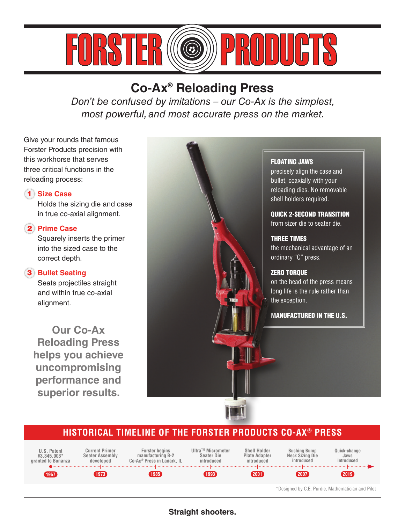

# **Co-Ax® Reloading Press**

*Don't be confused by imitations – our Co-Ax is the simplest, most powerful, and most accurate press on the market.*

Give your rounds that famous Forster Products precision with this workhorse that serves three critical functions in the reloading process:

### 1 **Size Case**

 Holds the sizing die and case in true co-axial alignment.

### 2 **Prime Case**

 Squarely inserts the primer into the sized case to the correct depth.

### 3 **Bullet Seating**

 Seats projectiles straight and within true co-axial alignment.

**Our Co-Ax Reloading Press helps you achieve uncompromising performance and superior results.**



#### FLOATING JAWS

precisely align the case and bullet, coaxially with your reloading dies. No removable shell holders required.

QUICK 2-SECOND TRANSITION from sizer die to seater die.

## THREE TIMES

the mechanical advantage of an ordinary "C" press.

### ZERO TORQUE

on the head of the press means long life is the rule rather than the exception.

MANUFACTURED IN THE U.S.

## **HISTORICAL TIMELINE OF THE FORSTER PRODUCTS CO-AX® PRESS**



\*Designed by C.E. Purdie, Mathematician and Pilot

### **Straight shooters.**